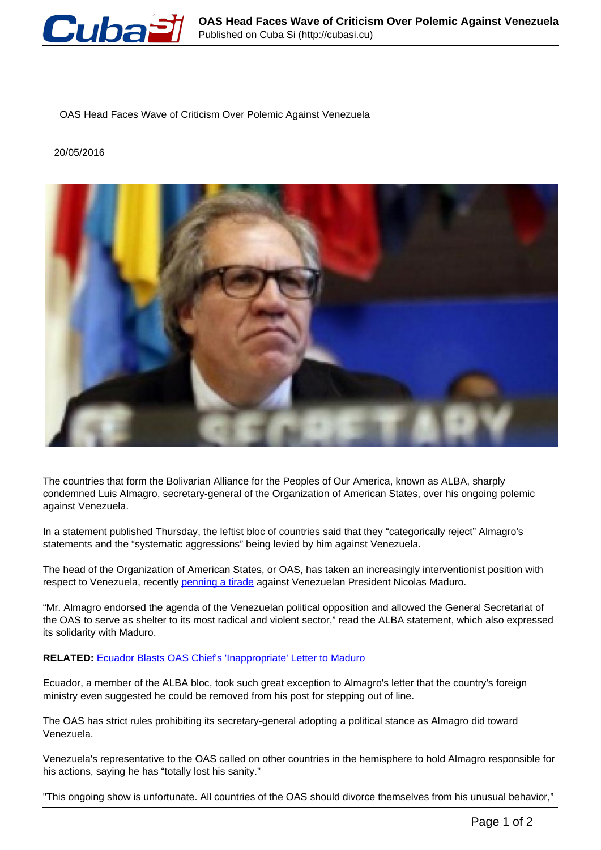

OAS Head Faces Wave of Criticism Over Polemic Against Venezuela

## 20/05/2016



The countries that form the Bolivarian Alliance for the Peoples of Our America, known as ALBA, sharply condemned Luis Almagro, secretary-general of the Organization of American States, over his ongoing polemic against Venezuela.

In a statement published Thursday, the leftist bloc of countries said that they "categorically reject" Almagro's statements and the "systematic aggressions" being levied by him against Venezuela.

The head of the Organization of American States, or OAS, has taken an increasingly interventionist position with respect to Venezuela, recently [penning a tirade](http://www.telesurtv.net/english/news/OAS-Chief-Pens-Tirade-Against-Maduro-Denies-He-Is-CIA-Agent-20160518-0024.html) against Venezuelan President Nicolas Maduro.

"Mr. Almagro endorsed the agenda of the Venezuelan political opposition and allowed the General Secretariat of the OAS to serve as shelter to its most radical and violent sector," read the ALBA statement, which also expressed its solidarity with Maduro.

## **RELATED:** Ecuador Blasts OAS Chief's 'Inappropriate' Letter to Maduro

Ecuador, a member of the ALBA bloc, took such great exception to Almagro's letter that the country's foreign ministry even suggested he could be removed from his post for stepping out of line.

The OAS has strict rules prohibiting its secretary-general adopting a political stance as Almagro did toward Venezuela.

Venezuela's representative to the OAS called on other countries in the hemisphere to hold Almagro responsible for his actions, saying he has "totally lost his sanity."

"This ongoing show is unfortunate. All countries of the OAS should divorce themselves from his unusual behavior,"